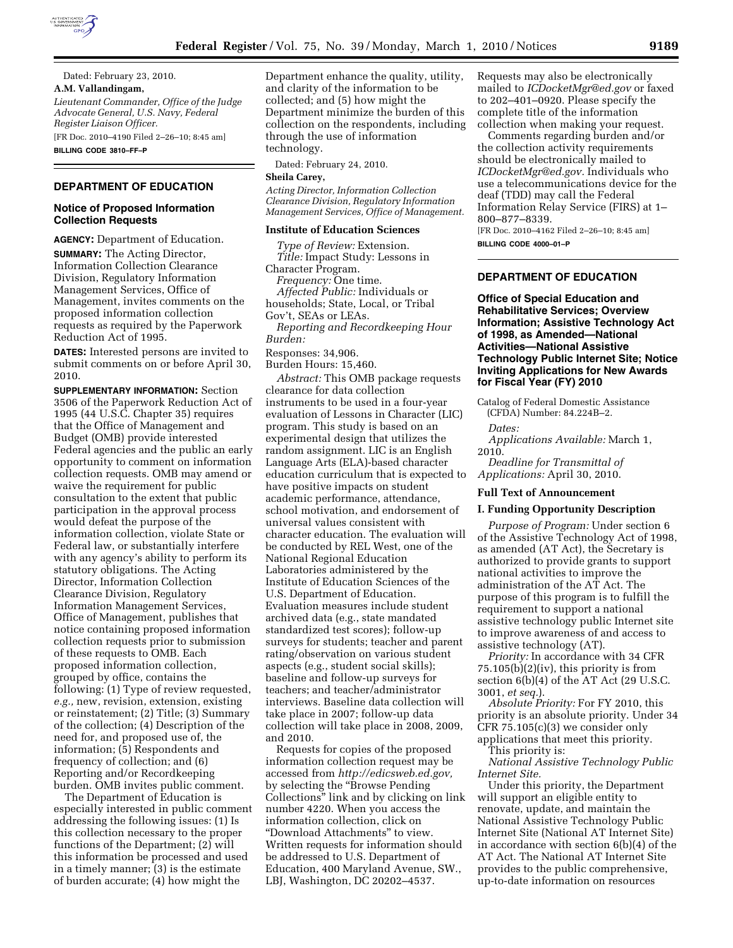

Dated: February 23, 2010.

**A.M. Vallandingam,**  *Lieutenant Commander, Office of the Judge Advocate General, U.S. Navy, Federal Register Liaison Officer.* 

[FR Doc. 2010–4190 Filed 2–26–10; 8:45 am] **BILLING CODE 3810–FF–P** 

#### **DEPARTMENT OF EDUCATION**

## **Notice of Proposed Information Collection Requests**

**AGENCY:** Department of Education. **SUMMARY:** The Acting Director, Information Collection Clearance Division, Regulatory Information Management Services, Office of Management, invites comments on the proposed information collection requests as required by the Paperwork Reduction Act of 1995.

**DATES:** Interested persons are invited to submit comments on or before April 30, 2010.

**SUPPLEMENTARY INFORMATION:** Section 3506 of the Paperwork Reduction Act of 1995 (44 U.S.C. Chapter 35) requires that the Office of Management and Budget (OMB) provide interested Federal agencies and the public an early opportunity to comment on information collection requests. OMB may amend or waive the requirement for public consultation to the extent that public participation in the approval process would defeat the purpose of the information collection, violate State or Federal law, or substantially interfere with any agency's ability to perform its statutory obligations. The Acting Director, Information Collection Clearance Division, Regulatory Information Management Services, Office of Management, publishes that notice containing proposed information collection requests prior to submission of these requests to OMB. Each proposed information collection, grouped by office, contains the following: (1) Type of review requested, *e.g.,* new, revision, extension, existing or reinstatement; (2) Title; (3) Summary of the collection; (4) Description of the need for, and proposed use of, the information; (5) Respondents and frequency of collection; and (6) Reporting and/or Recordkeeping burden. OMB invites public comment.

The Department of Education is especially interested in public comment addressing the following issues: (1) Is this collection necessary to the proper functions of the Department; (2) will this information be processed and used in a timely manner; (3) is the estimate of burden accurate; (4) how might the

Department enhance the quality, utility, and clarity of the information to be collected; and (5) how might the Department minimize the burden of this collection on the respondents, including through the use of information technology.

Dated: February 24, 2010.

**Sheila Carey,** 

*Acting Director, Information Collection Clearance Division, Regulatory Information Management Services, Office of Management.* 

#### **Institute of Education Sciences**

*Type of Review:* Extension. *Title:* Impact Study: Lessons in Character Program. *Frequency:* One time. *Affected Public:* Individuals or households; State, Local, or Tribal Gov't, SEAs or LEAs. *Reporting and Recordkeeping Hour Burden:*  Responses: 34,906.

Burden Hours: 15,460.

*Abstract:* This OMB package requests clearance for data collection instruments to be used in a four-year evaluation of Lessons in Character (LIC) program. This study is based on an experimental design that utilizes the random assignment. LIC is an English Language Arts (ELA)-based character education curriculum that is expected to have positive impacts on student academic performance, attendance, school motivation, and endorsement of universal values consistent with character education. The evaluation will be conducted by REL West, one of the National Regional Education Laboratories administered by the Institute of Education Sciences of the U.S. Department of Education. Evaluation measures include student archived data (e.g., state mandated standardized test scores); follow-up surveys for students; teacher and parent rating/observation on various student aspects (e.g., student social skills); baseline and follow-up surveys for teachers; and teacher/administrator interviews. Baseline data collection will take place in 2007; follow-up data collection will take place in 2008, 2009, and 2010.

Requests for copies of the proposed information collection request may be accessed from *http://edicsweb.ed.gov,*  by selecting the ''Browse Pending Collections'' link and by clicking on link number 4220. When you access the information collection, click on ''Download Attachments'' to view. Written requests for information should be addressed to U.S. Department of Education, 400 Maryland Avenue, SW., LBJ, Washington, DC 20202–4537.

Requests may also be electronically mailed to *ICDocketMgr@ed.gov* or faxed to 202–401–0920. Please specify the complete title of the information collection when making your request.

Comments regarding burden and/or the collection activity requirements should be electronically mailed to *ICDocketMgr@ed.gov.* Individuals who use a telecommunications device for the deaf (TDD) may call the Federal Information Relay Service (FIRS) at 1– 800–877–8339.

[FR Doc. 2010–4162 Filed 2–26–10; 8:45 am] **BILLING CODE 4000–01–P** 

# **DEPARTMENT OF EDUCATION**

**Office of Special Education and Rehabilitative Services; Overview Information; Assistive Technology Act of 1998, as Amended—National Activities—National Assistive Technology Public Internet Site; Notice Inviting Applications for New Awards for Fiscal Year (FY) 2010** 

Catalog of Federal Domestic Assistance (CFDA) Number: 84.224B–2.

*Dates:* 

*Applications Available:* March 1, 2010.

*Deadline for Transmittal of Applications:* April 30, 2010.

#### **Full Text of Announcement**

# **I. Funding Opportunity Description**

*Purpose of Program:* Under section 6 of the Assistive Technology Act of 1998, as amended (AT Act), the Secretary is authorized to provide grants to support national activities to improve the administration of the AT Act. The purpose of this program is to fulfill the requirement to support a national assistive technology public Internet site to improve awareness of and access to assistive technology (AT).

*Priority:* In accordance with 34 CFR 75.105(b)(2)(iv), this priority is from section 6(b)(4) of the AT Act (29 U.S.C. 3001, *et seq.*).

*Absolute Priority:* For FY 2010, this priority is an absolute priority. Under 34 CFR 75.105(c)(3) we consider only applications that meet this priority.

This priority is:

*National Assistive Technology Public Internet Site.* 

Under this priority, the Department will support an eligible entity to renovate, update, and maintain the National Assistive Technology Public Internet Site (National AT Internet Site) in accordance with section 6(b)(4) of the AT Act. The National AT Internet Site provides to the public comprehensive, up-to-date information on resources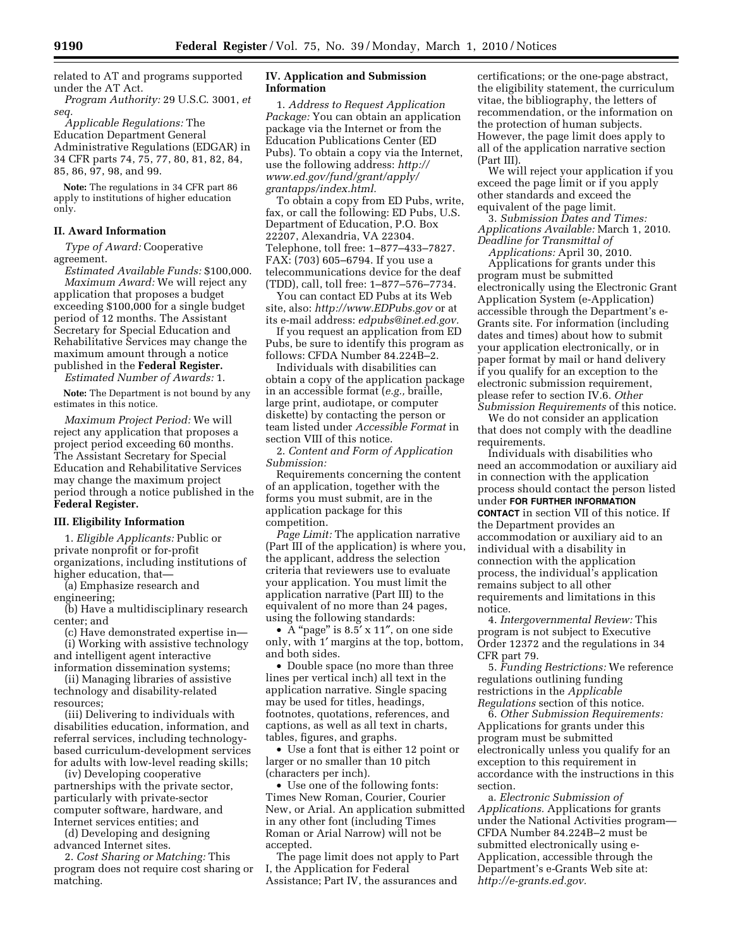related to AT and programs supported under the AT Act.

*Program Authority:* 29 U.S.C. 3001, *et seq.* 

*Applicable Regulations:* The Education Department General Administrative Regulations (EDGAR) in 34 CFR parts 74, 75, 77, 80, 81, 82, 84, 85, 86, 97, 98, and 99.

**Note:** The regulations in 34 CFR part 86 apply to institutions of higher education only.

## **II. Award Information**

*Type of Award:* Cooperative agreement.

*Estimated Available Funds:* \$100,000. *Maximum Award:* We will reject any application that proposes a budget exceeding \$100,000 for a single budget period of 12 months. The Assistant Secretary for Special Education and Rehabilitative Services may change the maximum amount through a notice published in the **Federal Register.** 

*Estimated Number of Awards:* 1.

**Note:** The Department is not bound by any estimates in this notice.

*Maximum Project Period:* We will reject any application that proposes a project period exceeding 60 months. The Assistant Secretary for Special Education and Rehabilitative Services may change the maximum project period through a notice published in the **Federal Register.** 

#### **III. Eligibility Information**

1. *Eligible Applicants:* Public or private nonprofit or for-profit organizations, including institutions of higher education, that—

(a) Emphasize research and engineering;

(b) Have a multidisciplinary research center; and

(c) Have demonstrated expertise in—

(i) Working with assistive technology and intelligent agent interactive information dissemination systems;

(ii) Managing libraries of assistive technology and disability-related resources;

(iii) Delivering to individuals with disabilities education, information, and referral services, including technologybased curriculum-development services for adults with low-level reading skills;

(iv) Developing cooperative partnerships with the private sector, particularly with private-sector computer software, hardware, and Internet services entities; and

(d) Developing and designing advanced Internet sites.

2. *Cost Sharing or Matching:* This program does not require cost sharing or matching.

## **IV. Application and Submission Information**

1. *Address to Request Application Package:* You can obtain an application package via the Internet or from the Education Publications Center (ED Pubs). To obtain a copy via the Internet, use the following address: *http:// www.ed.gov/fund/grant/apply/ grantapps/index.html.* 

To obtain a copy from ED Pubs, write, fax, or call the following: ED Pubs, U.S. Department of Education, P.O. Box 22207, Alexandria, VA 22304. Telephone, toll free: 1–877–433–7827. FAX: (703) 605–6794. If you use a telecommunications device for the deaf (TDD), call, toll free: 1–877–576–7734.

You can contact ED Pubs at its Web site, also: *http://www.EDPubs.gov* or at its e-mail address: *edpubs@inet.ed.gov.* 

If you request an application from ED Pubs, be sure to identify this program as follows: CFDA Number 84.224B–2.

Individuals with disabilities can obtain a copy of the application package in an accessible format (*e.g.,* braille, large print, audiotape, or computer diskette) by contacting the person or team listed under *Accessible Format* in section VIII of this notice.

2. *Content and Form of Application Submission:* 

Requirements concerning the content of an application, together with the forms you must submit, are in the application package for this competition.

*Page Limit:* The application narrative (Part III of the application) is where you, the applicant, address the selection criteria that reviewers use to evaluate your application. You must limit the application narrative (Part III) to the equivalent of no more than 24 pages, using the following standards:

• A "page" is 8.5' x 11", on one side only, with 1′ margins at the top, bottom, and both sides.

• Double space (no more than three lines per vertical inch) all text in the application narrative. Single spacing may be used for titles, headings, footnotes, quotations, references, and captions, as well as all text in charts, tables, figures, and graphs.

• Use a font that is either 12 point or larger or no smaller than 10 pitch (characters per inch).

• Use one of the following fonts: Times New Roman, Courier, Courier New, or Arial. An application submitted in any other font (including Times Roman or Arial Narrow) will not be accepted.

The page limit does not apply to Part I, the Application for Federal Assistance; Part IV, the assurances and

certifications; or the one-page abstract, the eligibility statement, the curriculum vitae, the bibliography, the letters of recommendation, or the information on the protection of human subjects. However, the page limit does apply to all of the application narrative section (Part III).

We will reject your application if you exceed the page limit or if you apply other standards and exceed the equivalent of the page limit.

3. *Submission Dates and Times: Applications Available:* March 1, 2010. *Deadline for Transmittal of Applications:* April 30, 2010.

Applications for grants under this program must be submitted electronically using the Electronic Grant Application System (e-Application) accessible through the Department's e-Grants site. For information (including dates and times) about how to submit your application electronically, or in paper format by mail or hand delivery if you qualify for an exception to the electronic submission requirement, please refer to section IV.6. *Other Submission Requirements* of this notice.

We do not consider an application that does not comply with the deadline requirements.

Individuals with disabilities who need an accommodation or auxiliary aid in connection with the application process should contact the person listed under **FOR FURTHER INFORMATION CONTACT** in section VII of this notice. If the Department provides an accommodation or auxiliary aid to an individual with a disability in connection with the application process, the individual's application remains subject to all other requirements and limitations in this notice.

4. *Intergovernmental Review:* This program is not subject to Executive Order 12372 and the regulations in 34 CFR part 79.

5. *Funding Restrictions:* We reference regulations outlining funding restrictions in the *Applicable Regulations* section of this notice.

6. *Other Submission Requirements:*  Applications for grants under this program must be submitted electronically unless you qualify for an exception to this requirement in accordance with the instructions in this section.

a. *Electronic Submission of Applications.* Applications for grants under the National Activities program— CFDA Number 84.224B–2 must be submitted electronically using e-Application, accessible through the Department's e-Grants Web site at: *http://e-grants.ed.gov.*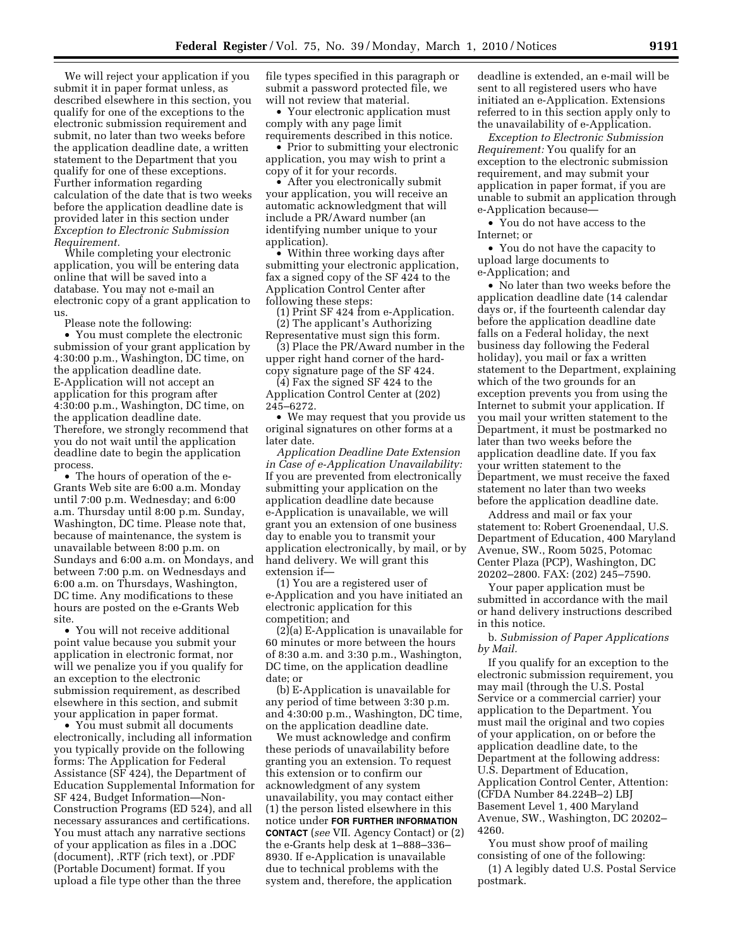We will reject your application if you submit it in paper format unless, as described elsewhere in this section, you qualify for one of the exceptions to the electronic submission requirement and submit, no later than two weeks before the application deadline date, a written statement to the Department that you qualify for one of these exceptions. Further information regarding calculation of the date that is two weeks before the application deadline date is provided later in this section under *Exception to Electronic Submission Requirement.* 

While completing your electronic application, you will be entering data online that will be saved into a database. You may not e-mail an electronic copy of a grant application to us.

Please note the following:

• You must complete the electronic submission of your grant application by 4:30:00 p.m., Washington, DC time, on the application deadline date. E-Application will not accept an application for this program after 4:30:00 p.m., Washington, DC time, on the application deadline date. Therefore, we strongly recommend that you do not wait until the application deadline date to begin the application process.

• The hours of operation of the e-Grants Web site are 6:00 a.m. Monday until 7:00 p.m. Wednesday; and 6:00 a.m. Thursday until 8:00 p.m. Sunday, Washington, DC time. Please note that, because of maintenance, the system is unavailable between 8:00 p.m. on Sundays and 6:00 a.m. on Mondays, and between 7:00 p.m. on Wednesdays and 6:00 a.m. on Thursdays, Washington, DC time. Any modifications to these hours are posted on the e-Grants Web site.

• You will not receive additional point value because you submit your application in electronic format, nor will we penalize you if you qualify for an exception to the electronic submission requirement, as described elsewhere in this section, and submit your application in paper format.

• You must submit all documents electronically, including all information you typically provide on the following forms: The Application for Federal Assistance (SF 424), the Department of Education Supplemental Information for SF 424, Budget Information—Non-Construction Programs (ED 524), and all necessary assurances and certifications. You must attach any narrative sections of your application as files in a .DOC (document), .RTF (rich text), or .PDF (Portable Document) format. If you upload a file type other than the three

file types specified in this paragraph or submit a password protected file, we will not review that material.

• Your electronic application must comply with any page limit requirements described in this notice.

• Prior to submitting your electronic application, you may wish to print a copy of it for your records.

• After you electronically submit your application, you will receive an automatic acknowledgment that will include a PR/Award number (an identifying number unique to your application).

• Within three working days after submitting your electronic application, fax a signed copy of the SF 424 to the Application Control Center after following these steps:

(1) Print SF 424 from e-Application. (2) The applicant's Authorizing

Representative must sign this form. (3) Place the PR/Award number in the upper right hand corner of the hardcopy signature page of the SF 424.

(4) Fax the signed SF 424 to the Application Control Center at (202) 245–6272.

• We may request that you provide us original signatures on other forms at a later date.

*Application Deadline Date Extension in Case of e-Application Unavailability:*  If you are prevented from electronically submitting your application on the application deadline date because e-Application is unavailable, we will grant you an extension of one business day to enable you to transmit your application electronically, by mail, or by hand delivery. We will grant this extension if—

(1) You are a registered user of e-Application and you have initiated an electronic application for this competition; and

(2)(a) E-Application is unavailable for 60 minutes or more between the hours of 8:30 a.m. and 3:30 p.m., Washington, DC time, on the application deadline date; or

(b) E-Application is unavailable for any period of time between 3:30 p.m. and 4:30:00 p.m., Washington, DC time, on the application deadline date.

We must acknowledge and confirm these periods of unavailability before granting you an extension. To request this extension or to confirm our acknowledgment of any system unavailability, you may contact either (1) the person listed elsewhere in this notice under **FOR FURTHER INFORMATION CONTACT** (*see* VII. Agency Contact) or (2) the e-Grants help desk at 1–888–336– 8930. If e-Application is unavailable due to technical problems with the system and, therefore, the application

deadline is extended, an e-mail will be sent to all registered users who have initiated an e-Application. Extensions referred to in this section apply only to the unavailability of e-Application.

*Exception to Electronic Submission Requirement:* You qualify for an exception to the electronic submission requirement, and may submit your application in paper format, if you are unable to submit an application through e-Application because—

• You do not have access to the Internet; or

• You do not have the capacity to upload large documents to e-Application; and

• No later than two weeks before the application deadline date (14 calendar days or, if the fourteenth calendar day before the application deadline date falls on a Federal holiday, the next business day following the Federal holiday), you mail or fax a written statement to the Department, explaining which of the two grounds for an exception prevents you from using the Internet to submit your application. If you mail your written statement to the Department, it must be postmarked no later than two weeks before the application deadline date. If you fax your written statement to the Department, we must receive the faxed statement no later than two weeks before the application deadline date.

Address and mail or fax your statement to: Robert Groenendaal, U.S. Department of Education, 400 Maryland Avenue, SW., Room 5025, Potomac Center Plaza (PCP), Washington, DC 20202–2800. FAX: (202) 245–7590.

Your paper application must be submitted in accordance with the mail or hand delivery instructions described in this notice.

b. *Submission of Paper Applications by Mail.* 

If you qualify for an exception to the electronic submission requirement, you may mail (through the U.S. Postal Service or a commercial carrier) your application to the Department. You must mail the original and two copies of your application, on or before the application deadline date, to the Department at the following address: U.S. Department of Education, Application Control Center, Attention: (CFDA Number 84.224B–2) LBJ Basement Level 1, 400 Maryland Avenue, SW., Washington, DC 20202– 4260.

You must show proof of mailing consisting of one of the following:

(1) A legibly dated U.S. Postal Service postmark.